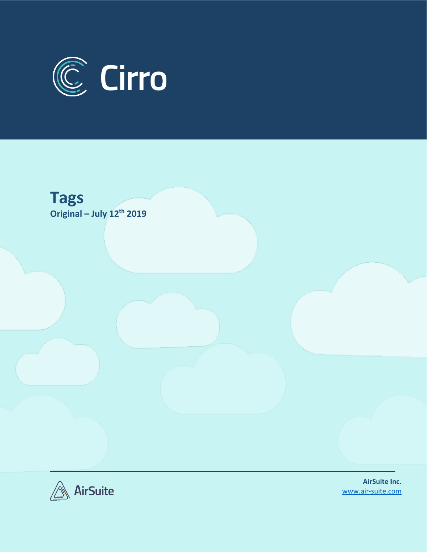





**AirSuite Inc.** [www.air-suite.com](http://www.air-suite.com/)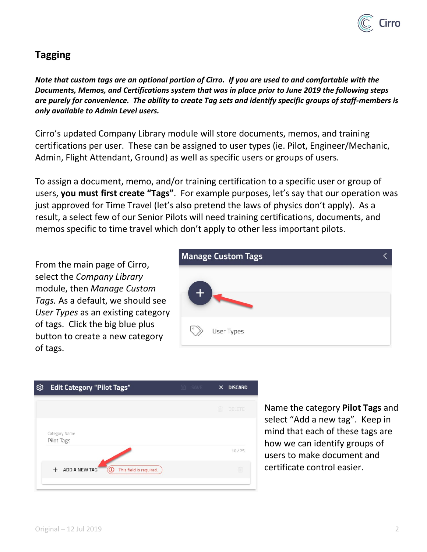

## **Tagging**

*Note that custom tags are an optional portion of Cirro. If you are used to and comfortable with the Documents, Memos, and Certifications system that was in place prior to June 2019 the following steps are purely for convenience. The ability to create Tag sets and identify specific groups of staff-members is only available to Admin Level users.*

Cirro's updated Company Library module will store documents, memos, and training certifications per user. These can be assigned to user types (ie. Pilot, Engineer/Mechanic, Admin, Flight Attendant, Ground) as well as specific users or groups of users.

To assign a document, memo, and/or training certification to a specific user or group of users, **you must first create "Tags"**. For example purposes, let's say that our operation was just approved for Time Travel (let's also pretend the laws of physics don't apply). As a result, a select few of our Senior Pilots will need training certifications, documents, and memos specific to time travel which don't apply to other less important pilots.

From the main page of Cirro, select the *Company Library* module, then *Manage Custom Tags.* As a default, we should see *User Types* as an existing category of tags. Click the big blue plus button to create a new category of tags.



| $\times$ | <b>DISCARD</b> |
|----------|----------------|
| M        | DELETE         |
|          |                |
|          | 10/25          |
|          | Ŵ              |
|          | <b>同 SAVE</b>  |

Name the category **Pilot Tags** and select "Add a new tag". Keep in mind that each of these tags are how we can identify groups of users to make document and certificate control easier.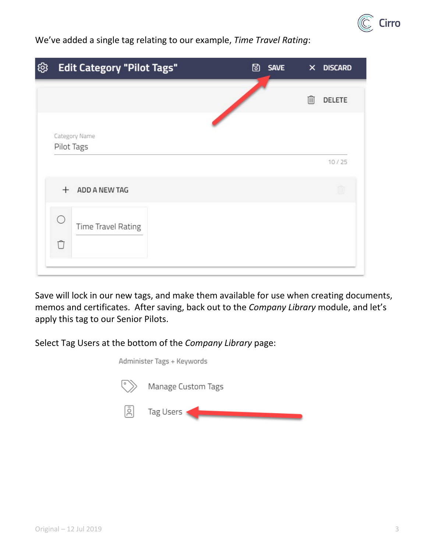

We've added a single tag relating to our example, *Time Travel Rating*:

| හි | <b>Edit Category "Pilot Tags"</b> | 固 | <b>SAVE</b> |   | X DISCARD |
|----|-----------------------------------|---|-------------|---|-----------|
|    |                                   |   |             | 侕 | DELETE    |
|    | Category Name<br>Pilot Tags       |   |             |   |           |
|    |                                   |   |             |   | 10/25     |
|    | ADD A NEW TAG<br>$+$              |   |             |   | III       |
|    | ∩<br>Time Travel Rating<br>$\Box$ |   |             |   |           |
|    |                                   |   |             |   |           |

Save will lock in our new tags, and make them available for use when creating documents, memos and certificates. After saving, back out to the *Company Library* module, and let's apply this tag to our Senior Pilots.

Select Tag Users at the bottom of the *Company Library* page:

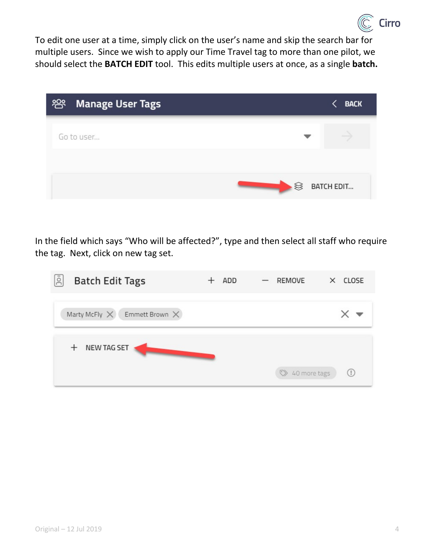

To edit one user at a time, simply click on the user's name and skip the search bar for multiple users. Since we wish to apply our Time Travel tag to more than one pilot, we should select the **BATCH EDIT** tool. This edits multiple users at once, as a single **batch.**

| ිසි<br><b>Manage User Tags</b> |           | <b>BACK</b>       |
|--------------------------------|-----------|-------------------|
| Go to user                     |           |                   |
|                                | $\otimes$ | <b>BATCH EDIT</b> |

In the field which says "Who will be affected?", type and then select all staff who require the tag. Next, click on new tag set.

| Ιā<br><b>Batch Edit Tags</b>               | ADD | REMOVE<br>$\qquad \qquad -$ | $\times$ CLOSE                                  |
|--------------------------------------------|-----|-----------------------------|-------------------------------------------------|
| Marty McFly $\times$ Emmett Brown $\times$ |     |                             |                                                 |
| NEW TAG SET<br>$^{+}$                      |     | 40 more tags                | $\left( \begin{array}{c} 1 \end{array} \right)$ |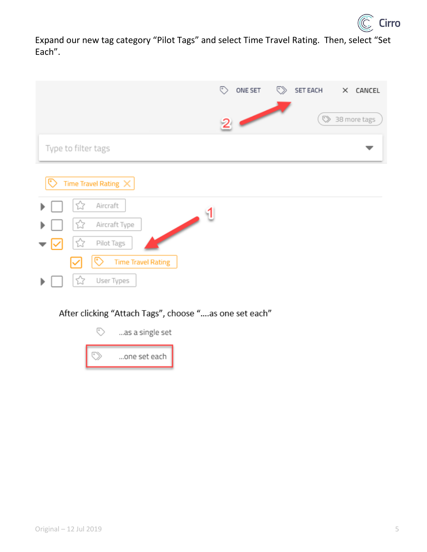

Expand our new tag category "Pilot Tags" and select Time Travel Rating. Then, select "Set Each".

|                                                                   | ♡<br><b>SET EACH</b><br>ONE SET<br>♡<br>$\times$ CANCEL |
|-------------------------------------------------------------------|---------------------------------------------------------|
|                                                                   | $\heartsuit$<br>38 more tags<br>$\mathbf{z}$            |
| Type to filter tags                                               |                                                         |
| Time Travel Rating $\times$<br>☞                                  |                                                         |
| Aircraft<br>☆                                                     |                                                         |
| $\overline{\phantom{a}}$<br>Aircraft Type<br>ひ                    |                                                         |
| ☆<br>Pilot Tags<br>೯<br><b>Time Travel Rating</b><br>$\checkmark$ |                                                         |

After clicking "Attach Tags", choose "....as one set each"



☆

User Types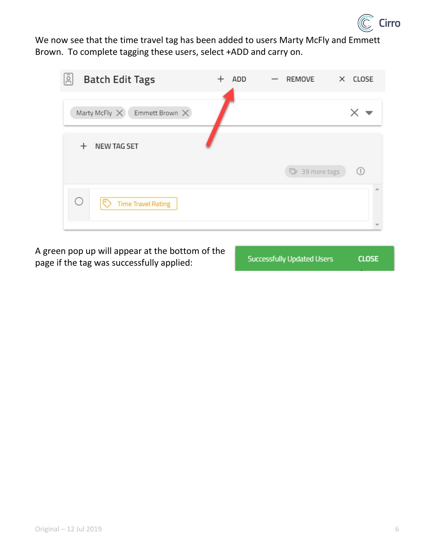

We now see that the time travel tag has been added to users Marty McFly and Emmett Brown. To complete tagging these users, select +ADD and carry on.

| Ιğ<br><b>Batch Edit Tags</b>               | ADD | REMOVE         | $\times$ CLOSE         |
|--------------------------------------------|-----|----------------|------------------------|
| Marty McFly $\times$ Emmett Brown $\times$ |     |                |                        |
| <b>NEW TAG SET</b><br>$^{+}$               |     |                |                        |
|                                            |     | > 39 more tags | $\left( \cdot \right)$ |
| $\cup$<br>⊵<br><b>Time Travel Rating</b>   |     |                |                        |

A green pop up will appear at the bottom of the page if the tag was successfully applied:

**Successfully Updated Users CLOSE**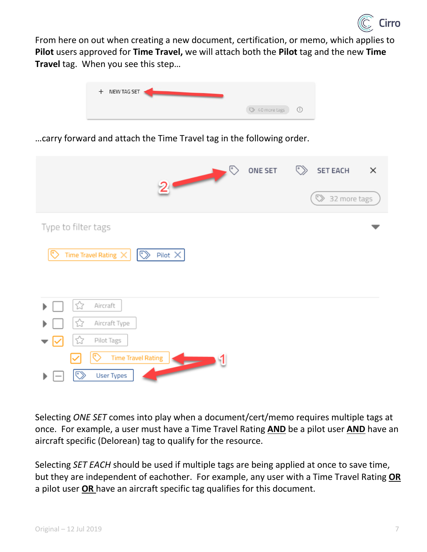

From here on out when creating a new document, certification, or memo, which applies to **Pilot** users approved for **Time Travel,** we will attach both the **Pilot** tag and the new **Time Travel** tag. When you see this step…



…carry forward and attach the Time Travel tag in the following order.

| $2$ $\circ$                                                                                                    | ONE SET | $\langle \rangle$<br><b>SET EACH</b><br>$\times$<br>> 32 more tags |
|----------------------------------------------------------------------------------------------------------------|---------|--------------------------------------------------------------------|
| Type to filter tags                                                                                            |         |                                                                    |
| ಲ<br>Time Travel Rating $\times$<br>$\bar{\mathbb{Q}}$<br>Pilot $\times$                                       |         |                                                                    |
| Aircraft<br>くう<br>Aircraft Type<br>5.7<br>Pilot Tags<br>Ŵ<br>☞<br><b>Time Travel Rating</b><br>৩<br>User Types |         |                                                                    |

Selecting *ONE SET* comes into play when a document/cert/memo requires multiple tags at once. For example, a user must have a Time Travel Rating **AND** be a pilot user **AND** have an aircraft specific (Delorean) tag to qualify for the resource.

Selecting *SET EACH* should be used if multiple tags are being applied at once to save time, but they are independent of eachother. For example, any user with a Time Travel Rating **OR** a pilot user **OR** have an aircraft specific tag qualifies for this document.